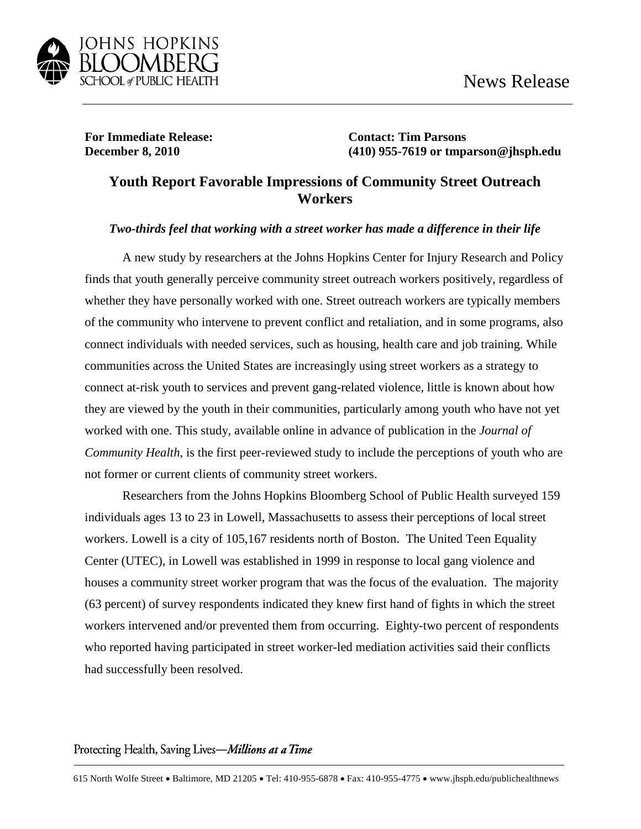

**For Immediate Release: Contact: Tim Parsons**

**December 8, 2010 (410) 955-7619 or tmparson@jhsph.edu**

## **Youth Report Favorable Impressions of Community Street Outreach Workers**

## *Two-thirds feel that working with a street worker has made a difference in their life*

A new study by researchers at the Johns Hopkins Center for Injury Research and Policy finds that youth generally perceive community street outreach workers positively, regardless of whether they have personally worked with one. Street outreach workers are typically members of the community who intervene to prevent conflict and retaliation, and in some programs, also connect individuals with needed services, such as housing, health care and job training. While communities across the United States are increasingly using street workers as a strategy to connect at-risk youth to services and prevent gang-related violence, little is known about how they are viewed by the youth in their communities, particularly among youth who have not yet worked with one. This study, available online in advance of publication in the *Journal of Community Health*, is the first peer-reviewed study to include the perceptions of youth who are not former or current clients of community street workers.

Researchers from the Johns Hopkins Bloomberg School of Public Health surveyed 159 individuals ages 13 to 23 in Lowell, Massachusetts to assess their perceptions of local street workers. Lowell is a city of 105,167 residents north of Boston. The United Teen Equality Center (UTEC), in Lowell was established in 1999 in response to local gang violence and houses a community street worker program that was the focus of the evaluation. The majority (63 percent) of survey respondents indicated they knew first hand of fights in which the street workers intervened and/or prevented them from occurring. Eighty-two percent of respondents who reported having participated in street worker-led mediation activities said their conflicts had successfully been resolved.

## Protecting Health, Saving Lives-Millions at a Time